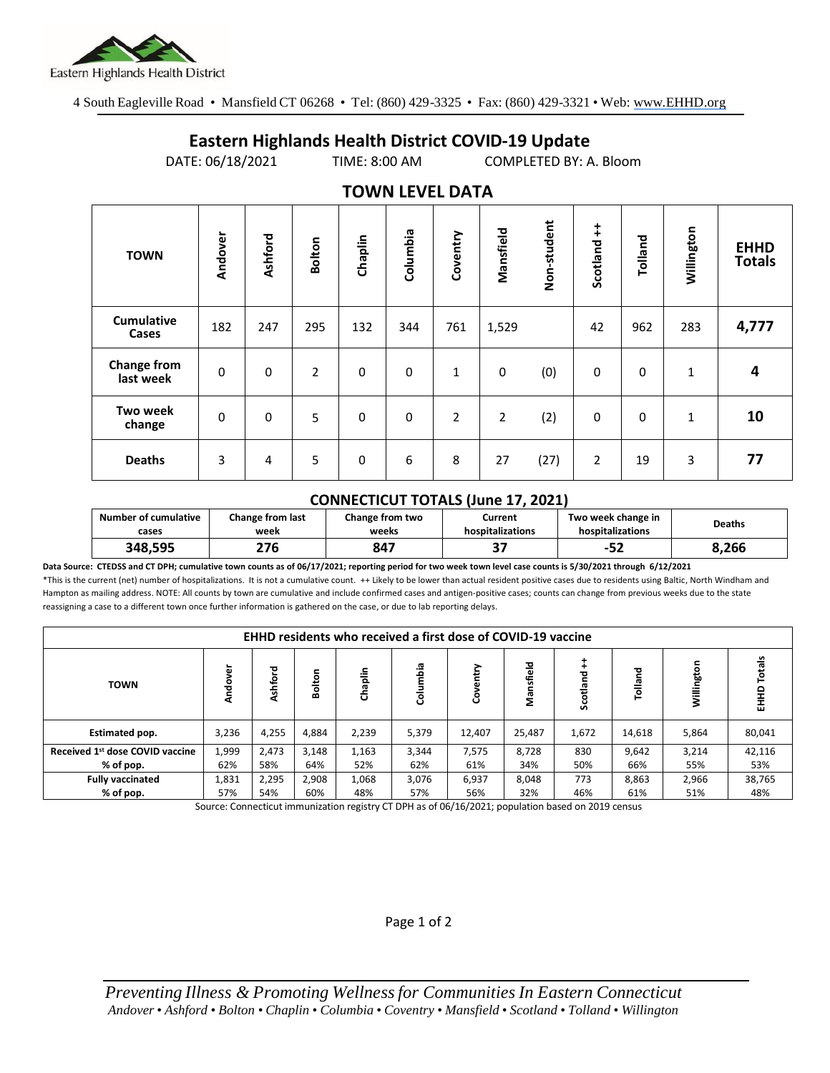

4 South Eagleville Road • Mansfield CT 06268 • Tel: (860) 429-3325 • Fax: (860) 429-3321 • Web: www.EHHD.org

## **Eastern Highlands Health District COVID-19 Update**

DATE: 06/18/2021 TIME: 8:00 AM COMPLETED BY: A. Bloom

| I V VVI V LL V LL <i>V</i> A I A |             |                |                |             |             |                |           |             |                        |          |              |                              |
|----------------------------------|-------------|----------------|----------------|-------------|-------------|----------------|-----------|-------------|------------------------|----------|--------------|------------------------------|
| <b>TOWN</b>                      | Andover     | <b>Ashford</b> | <b>Bolton</b>  | Chaplin     | Columbia    | Coventry       | Mansfield | Non-student | $\ddagger$<br>Scotland | Tolland  | Willington   | <b>EHHD</b><br><b>Totals</b> |
| <b>Cumulative</b><br>Cases       | 182         | 247            | 295            | 132         | 344         | 761            | 1,529     |             | 42                     | 962      | 283          | 4,777                        |
| <b>Change from</b><br>last week  | $\mathbf 0$ | $\mathbf 0$    | $\overline{2}$ | $\Omega$    | $\mathbf 0$ | $\mathbf{1}$   | 0         | (0)         | 0                      | $\Omega$ | $\mathbf{1}$ | 4                            |
| Two week<br>change               | $\mathbf 0$ | $\mathbf 0$    | 5              | $\Omega$    | $\mathbf 0$ | $\overline{2}$ | 2         | (2)         | 0                      | $\Omega$ | $\mathbf{1}$ | 10                           |
| <b>Deaths</b>                    | 3           | 4              | 5              | $\mathbf 0$ | 6           | 8              | 27        | (27)        | $\overline{2}$         | 19       | 3            | 77                           |

## **TOWN LEVEL DATA**

## **CONNECTICUT TOTALS (June 17, 2021)**

| <b>Number of cumulative</b><br>cases | Change from last<br>week | Change from two<br>weeks | Current<br>hospitalizations | Two week change in<br>hospitalizations | Deaths |  |
|--------------------------------------|--------------------------|--------------------------|-----------------------------|----------------------------------------|--------|--|
| 348.595                              | 276                      | 847                      | --<br>. پ                   | c.<br>ے∈−                              | 8.266  |  |

**Data Source: CTEDSS and CT DPH; cumulative town counts as of 06/17/2021; reporting period for two week town level case counts is 5/30/2021 through 6/12/2021** \*This is the current (net) number of hospitalizations. It is not a cumulative count. ++ Likely to be lower than actual resident positive cases due to residents using Baltic, North Windham and Hampton as mailing address. NOTE: All counts by town are cumulative and include confirmed cases and antigen-positive cases; counts can change from previous weeks due to the state reassigning a case to a different town once further information is gathered on the case, or due to lab reporting delays.

| <b>EHHD residents who received a first dose of COVID-19 vaccine</b> |              |              |              |              |              |              |            |                  |              |                  |
|---------------------------------------------------------------------|--------------|--------------|--------------|--------------|--------------|--------------|------------|------------------|--------------|------------------|
| ģ<br><b>Ando</b>                                                    | hford        | olton<br>ōŌ  | Chaplin      | Columbia     | පි           | Mansfield    | Scotland   | 겯<br>Tollar<br>T |              | Totals<br>읖<br>홊 |
| 3,236                                                               | 4,255        | 4,884        | 2,239        | 5,379        | 12,407       | 25,487       | 1,672      | 14,618           | 5,864        | 80,041           |
| 1,999<br>62%                                                        | 2,473<br>58% | 3,148<br>64% | 1,163<br>52% | 3,344<br>62% | 7,575<br>61% | 8,728<br>34% | 830<br>50% | 9,642<br>66%     | 3,214<br>55% | 42,116<br>53%    |
| 1,831                                                               | 2,295        | 2,908        | 1,068        | 3,076        | 6,937        | 8,048        | 773        | 8,863            | 2,966        | 38,765<br>48%    |
|                                                                     | 57%          | 54%          | 60%          | 48%          | 57%          | 56%          | 32%        | 46%              | 61%          | 51%              |

Source: Connecticut immunization registry CT DPH as of 06/16/2021; population based on 2019 census